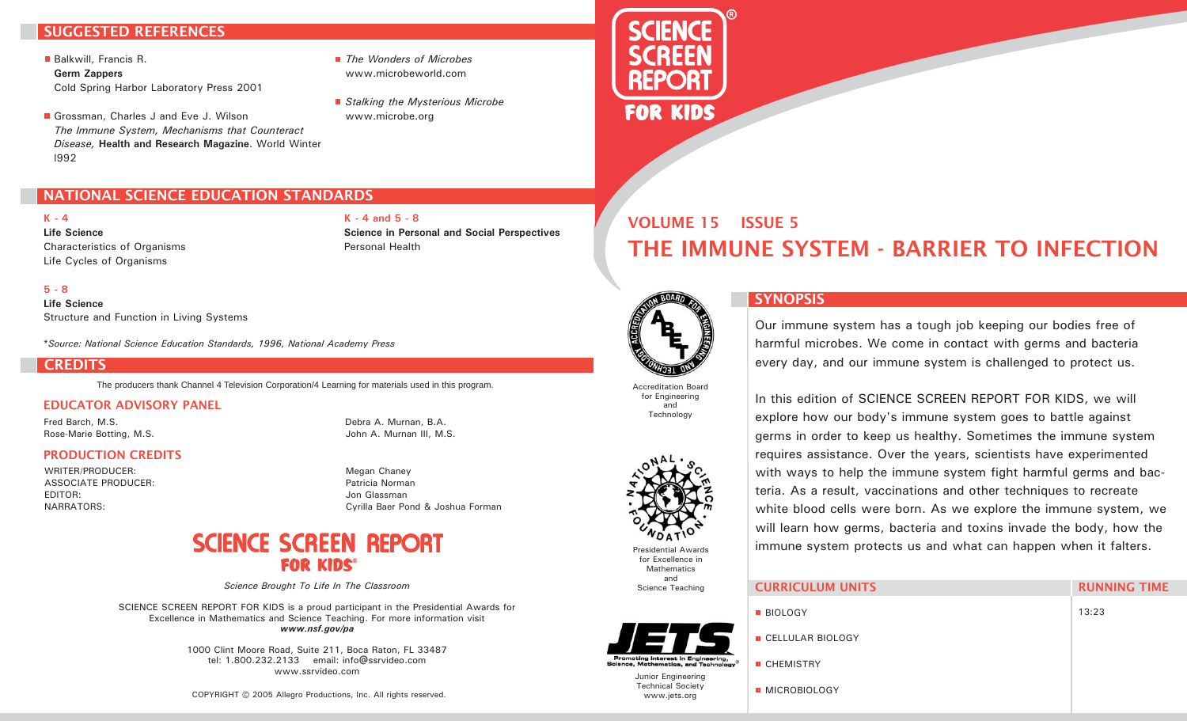# SUGGESTED REFERENCES

Balkwill, Francis R. **Germ Zappers** Cold Spring Harbor Laboratory Press 2001

Grossman, Charles J and Eve J. Wilson *The Immune System, Mechanisms that Counteract Disease,* **Health and Research Magazine**. World Winter l992

NATIONAL SCIENCE EDUCATION STANDARDS

- *The Wonders of Microbes* www.microbeworld.com
- *Stalking the Mysterious Microbe* www.microbe.org

**Science in Personal and Social Perspectives**

**K - 4 and 5 - 8**

Personal Health



# THE IMMUNE SYSTEM - BARRIER TO INFECTION VOLUME 15 ISSUE 5



**K - 4 Life Science**

**Life Science** Structure and Function in Living Systems

*\*Source: National Science Education Standards, 1996, National Academy Press*

### **CREDITS**

The producers thank Channel 4 Television Corporation/4 Learning for materials used in this program.

#### EDUCATOR ADVISORY PANEL

Fred Barch, M.S. Rose-Marie Botting, M.S. Debra A. Murnan, B.A. John A. Murnan III, M.S.

## PRODUCTION CREDITS

Characteristics of Organisms Life Cycles of Organisms

WRITER/PRODUCER: ASSOCIATE PRODUCER: EDITOR: NARRATORS:

Megan Chaney Patricia Norman Jon Glassman Cyrilla Baer Pond & Joshua Forman

# **SCIENCE SCREEN REPORT FOR KIDS®**

*Science Brought To Life In The Classroom*

SCIENCE SCREEN REPORT FOR KIDS is a proud participant in the Presidential Awards for Excellence in Mathematics and Science Teaching. For more information visit *www.nsf.gov/pa*

> 1000 Clint Moore Road, Suite 211, Boca Raton, FL 33487 tel: 1.800.232.2133 email: info@ssrvideo.com www.ssrvideo.com

COPYRIGHT © 2005 Allegro Productions, Inc. All rights reserved.



Accreditation Board for Engineering and

**Technology** 



Presidential Awards for Excellence in Mathematics and Science Teaching

# SYNOPSIS

Our immune system has a tough job keeping our bodies free of harmful microbes. We come in contact with germs and bacteria every day, and our immune system is challenged to protect us.

In this edition of SCIENCE SCREEN REPORT FOR KIDS, we will explore how our body's immune system goes to battle against germs in order to keep us healthy. Sometimes the immune system requires assistance. Over the years, scientists have experimented with ways to help the immune system fight harmful germs and bacteria. As a result, vaccinations and other techniques to recreate white blood cells were born. As we explore the immune system, we will learn how germs, bacteria and toxins invade the body, how the immune system protects us and what can happen when it falters.

|  | <b>CURRICULUM UNITS</b> |
|--|-------------------------|
|  |                         |

**MICROBIOLOGY** 



RUNNING TIME

Junior Engineering Technical Society www.jets.org